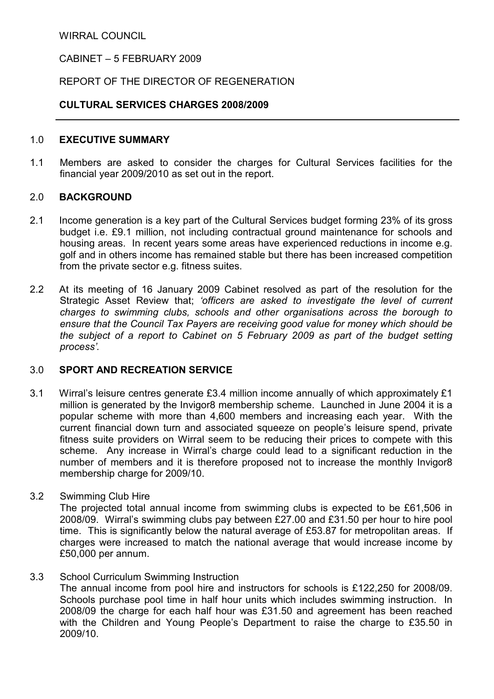WIRRAL COUNCIL

#### CABINET – 5 FEBRUARY 2009

### REPORT OF THE DIRECTOR OF REGENERATION

#### CULTURAL SERVICES CHARGES 2008/2009

#### 1.0 EXECUTIVE SUMMARY

1.1 Members are asked to consider the charges for Cultural Services facilities for the financial year 2009/2010 as set out in the report.

#### 2.0 BACKGROUND

- 2.1 Income generation is a key part of the Cultural Services budget forming 23% of its gross budget i.e. £9.1 million, not including contractual ground maintenance for schools and housing areas. In recent years some areas have experienced reductions in income e.g. golf and in others income has remained stable but there has been increased competition from the private sector e.g. fitness suites.
- 2.2 At its meeting of 16 January 2009 Cabinet resolved as part of the resolution for the Strategic Asset Review that; 'officers are asked to investigate the level of current charges to swimming clubs, schools and other organisations across the borough to ensure that the Council Tax Payers are receiving good value for money which should be the subject of a report to Cabinet on 5 February 2009 as part of the budget setting process'.

### 3.0 SPORT AND RECREATION SERVICE

- 3.1 Wirral's leisure centres generate £3.4 million income annually of which approximately £1 million is generated by the Invigor8 membership scheme. Launched in June 2004 it is a popular scheme with more than 4,600 members and increasing each year. With the current financial down turn and associated squeeze on people's leisure spend, private fitness suite providers on Wirral seem to be reducing their prices to compete with this scheme. Any increase in Wirral's charge could lead to a significant reduction in the number of members and it is therefore proposed not to increase the monthly Invigor8 membership charge for 2009/10.
- 3.2 Swimming Club Hire

The projected total annual income from swimming clubs is expected to be £61,506 in 2008/09. Wirral's swimming clubs pay between £27.00 and £31.50 per hour to hire pool time. This is significantly below the natural average of £53.87 for metropolitan areas. If charges were increased to match the national average that would increase income by £50,000 per annum.

3.3 School Curriculum Swimming Instruction

The annual income from pool hire and instructors for schools is £122,250 for 2008/09. Schools purchase pool time in half hour units which includes swimming instruction. In 2008/09 the charge for each half hour was £31.50 and agreement has been reached with the Children and Young People's Department to raise the charge to £35.50 in 2009/10.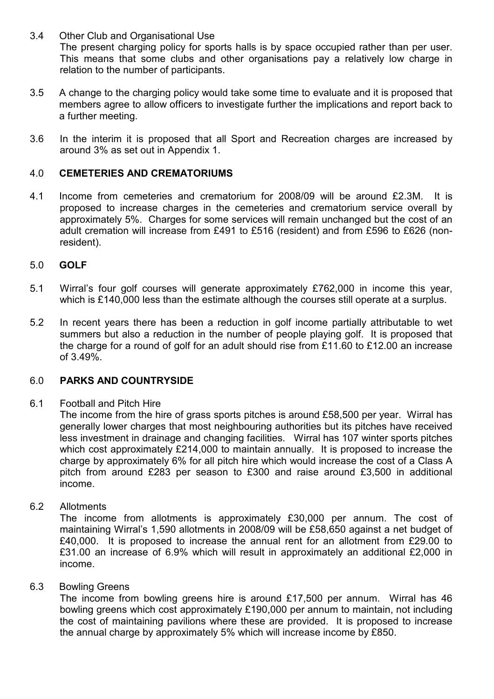- 3.4 Other Club and Organisational Use The present charging policy for sports halls is by space occupied rather than per user. This means that some clubs and other organisations pay a relatively low charge in relation to the number of participants.
- 3.5 A change to the charging policy would take some time to evaluate and it is proposed that members agree to allow officers to investigate further the implications and report back to a further meeting.
- 3.6 In the interim it is proposed that all Sport and Recreation charges are increased by around 3% as set out in Appendix 1.

#### 4.0 CEMETERIES AND CREMATORIUMS

4.1 Income from cemeteries and crematorium for 2008/09 will be around £2.3M. It is proposed to increase charges in the cemeteries and crematorium service overall by approximately 5%. Charges for some services will remain unchanged but the cost of an adult cremation will increase from £491 to £516 (resident) and from £596 to £626 (nonresident).

#### 5.0 GOLF

- 5.1 Wirral's four golf courses will generate approximately £762,000 in income this year, which is £140,000 less than the estimate although the courses still operate at a surplus.
- 5.2 In recent years there has been a reduction in golf income partially attributable to wet summers but also a reduction in the number of people playing golf. It is proposed that the charge for a round of golf for an adult should rise from £11.60 to £12.00 an increase of 3.49%.

### 6.0 PARKS AND COUNTRYSlDE

6.1 Football and Pitch Hire

 The income from the hire of grass sports pitches is around £58,500 per year. Wirral has generally lower charges that most neighbouring authorities but its pitches have received less investment in drainage and changing facilities. Wirral has 107 winter sports pitches which cost approximately £214,000 to maintain annually. It is proposed to increase the charge by approximately 6% for all pitch hire which would increase the cost of a Class A pitch from around £283 per season to £300 and raise around £3,500 in additional income.

6.2 Allotments

The income from allotments is approximately £30,000 per annum. The cost of maintaining Wirral's 1,590 allotments in 2008/09 will be £58,650 against a net budget of £40,000. It is proposed to increase the annual rent for an allotment from £29.00 to £31.00 an increase of 6.9% which will result in approximately an additional £2,000 in income.

#### 6.3 Bowling Greens

The income from bowling greens hire is around £17,500 per annum. Wirral has 46 bowling greens which cost approximately £190,000 per annum to maintain, not including the cost of maintaining pavilions where these are provided. It is proposed to increase the annual charge by approximately 5% which will increase income by £850.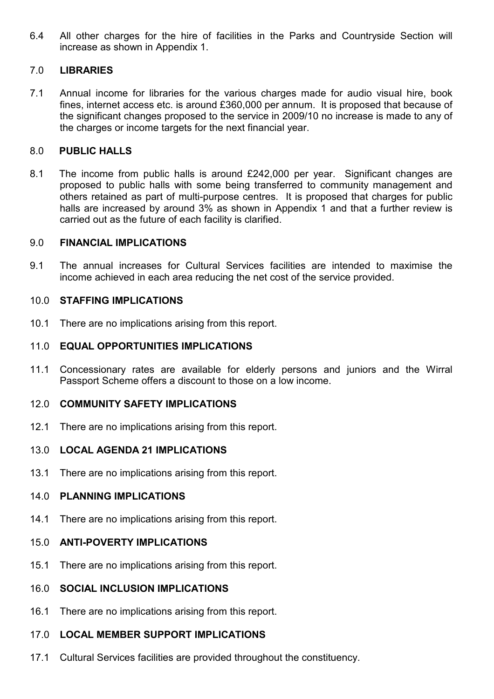6.4 All other charges for the hire of facilities in the Parks and Countryside Section will increase as shown in Appendix 1.

# 7.0 LIBRARIES

7.1 Annual income for libraries for the various charges made for audio visual hire, book fines, internet access etc. is around £360,000 per annum. It is proposed that because of the significant changes proposed to the service in 2009/10 no increase is made to any of the charges or income targets for the next financial year.

# 8.0 PUBLIC HALLS

8.1 The income from public halls is around £242,000 per year. Significant changes are proposed to public halls with some being transferred to community management and others retained as part of multi-purpose centres. It is proposed that charges for public halls are increased by around 3% as shown in Appendix 1 and that a further review is carried out as the future of each facility is clarified.

## 9.0 FINANCIAL IMPLICATIONS

9.1 The annual increases for Cultural Services facilities are intended to maximise the income achieved in each area reducing the net cost of the service provided.

# 10.0 STAFFING IMPLICATIONS

10.1 There are no implications arising from this report.

## 11.0 EQUAL OPPORTUNITIES IMPLICATIONS

11.1 Concessionary rates are available for elderly persons and juniors and the Wirral Passport Scheme offers a discount to those on a low income.

## 12.0 COMMUNITY SAFETY IMPLICATIONS

12.1 There are no implications arising from this report.

## 13.0 LOCAL AGENDA 21 IMPLICATIONS

13.1 There are no implications arising from this report.

## 14.0 PLANNING IMPLICATIONS

14.1 There are no implications arising from this report.

# 15.0 ANTI-POVERTY IMPLICATIONS

- 15.1 There are no implications arising from this report.
- 16.0 SOCIAL INCLUSION IMPLICATIONS
- 16.1 There are no implications arising from this report.

### 17.0 LOCAL MEMBER SUPPORT IMPLICATIONS

17.1 Cultural Services facilities are provided throughout the constituency.